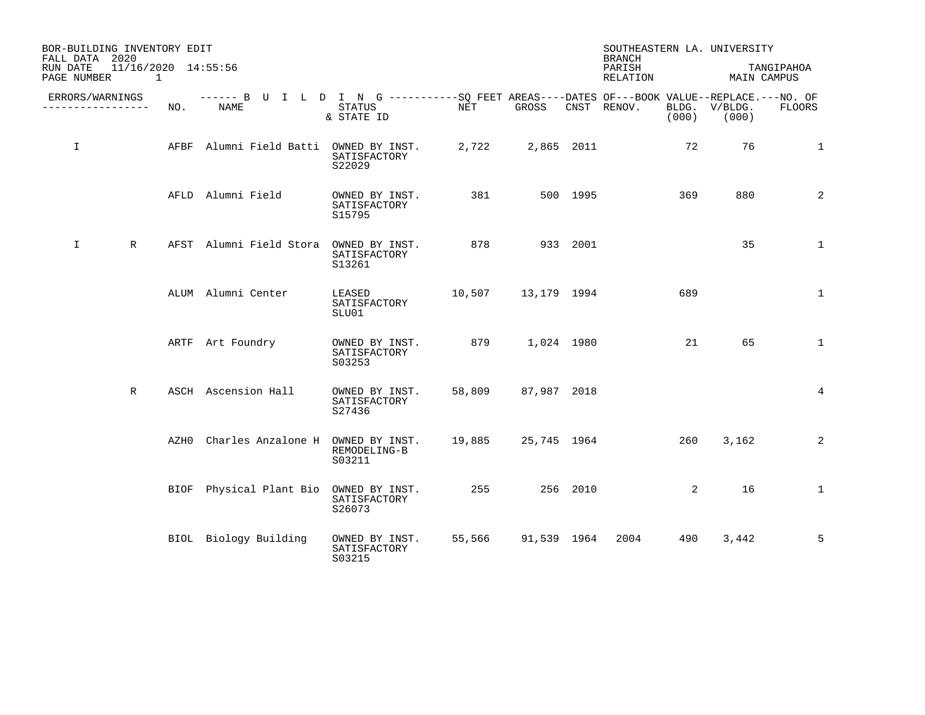| FALL DATA 2020          | BOR-BUILDING INVENTORY EDIT           |     |                                                                                                    |                                          |                    |                    |            | <b>BRANCH</b>      |       | SOUTHEASTERN LA. UNIVERSITY |              |
|-------------------------|---------------------------------------|-----|----------------------------------------------------------------------------------------------------|------------------------------------------|--------------------|--------------------|------------|--------------------|-------|-----------------------------|--------------|
| RUN DATE<br>PAGE NUMBER | 11/16/2020 14:55:56<br>$\overline{1}$ |     |                                                                                                    |                                          |                    |                    |            | PARISH<br>RELATION |       | MAIN CAMPUS                 | TANGIPAHOA   |
|                         | ERRORS/WARNINGS<br>. <u>.</u> .       | NO. | ------ B U I L D I N G ----------SQ FEET AREAS----DATES OF---BOOK VALUE--REPLACE.---NO. OF<br>NAME | STATUS<br>& STATE ID                     | NET                | GROSS              |            | CNST RENOV.        | (000) | BLDG. V/BLDG.<br>(000)      | FLOORS       |
| I.                      |                                       |     | AFBF Alumni Field Batti OWNED BY INST.                                                             | SATISFACTORY<br>S22029                   | 2,722              |                    | 2,865 2011 |                    | 72    | 76                          | $\mathbf{1}$ |
|                         |                                       |     | AFLD Alumni Field                                                                                  | OWNED BY INST.<br>SATISFACTORY<br>S15795 | 381                |                    | 500 1995   |                    | 369   | 880                         | 2            |
| $\mathbf{I}$            | $\mathbb R$                           |     | AFST Alumni Field Stora                                                                            | OWNED BY INST.<br>SATISFACTORY<br>S13261 | 878                | 933 2001           |            |                    |       | 35                          | $\mathbf{1}$ |
|                         |                                       |     | ALUM Alumni Center                                                                                 | LEASED<br>SATISFACTORY<br>SLU01          | 10,507             | 13,179 1994        |            |                    | 689   |                             | 1            |
|                         |                                       |     | ARTF Art Foundry                                                                                   | OWNED BY INST.<br>SATISFACTORY<br>S03253 | 879 1,024 1980     |                    |            |                    | 21    | 65                          | $\mathbf{1}$ |
|                         | $\mathbb{R}$                          |     | ASCH Ascension Hall                                                                                | OWNED BY INST.<br>SATISFACTORY<br>S27436 | 58,809             | 87,987 2018        |            |                    |       |                             | 4            |
|                         |                                       |     | AZHO Charles Anzalone H OWNED BY INST.                                                             | REMODELING-B<br>S03211                   | 19,885 25,745 1964 |                    |            |                    | 260   | 3,162                       | 2            |
|                         |                                       |     | BIOF Physical Plant Bio OWNED BY INST.                                                             | SATISFACTORY<br>S26073                   | 255                |                    | 256 2010   |                    | 2     | 16                          | $\mathbf 1$  |
|                         |                                       |     | BIOL Biology Building                                                                              | OWNED BY INST.<br>SATISFACTORY<br>S03215 |                    | 55,566 91,539 1964 |            | 2004               | 490   | 3,442                       | 5            |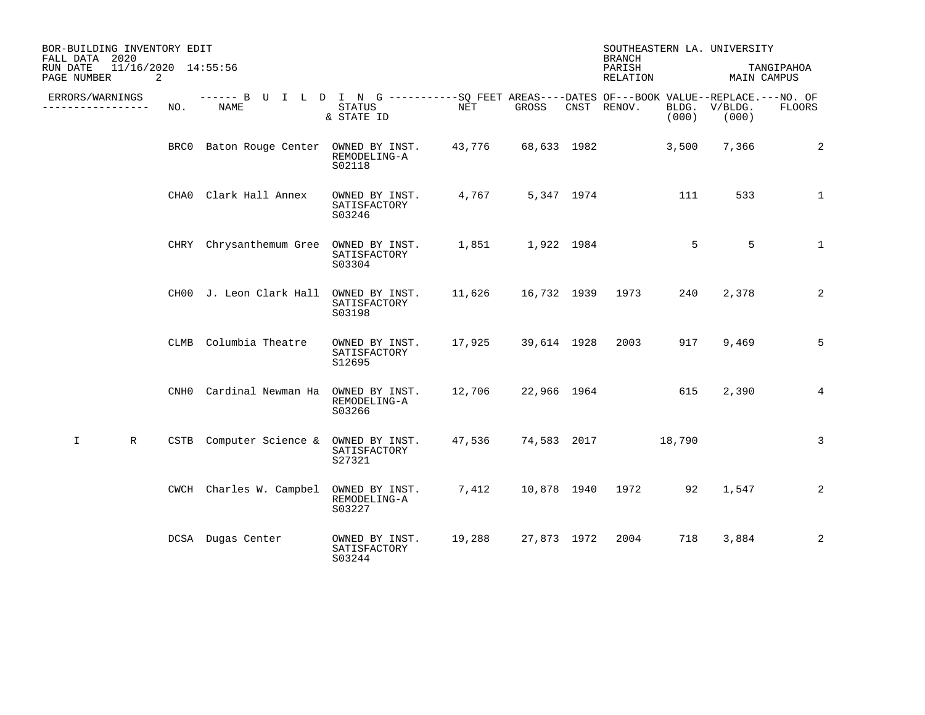| BOR-BUILDING INVENTORY EDIT<br>FALL DATA 2020       |      |                                                                                                    |                                          |                      |                  | <b>BRANCH</b>      |                | SOUTHEASTERN LA. UNIVERSITY |              |
|-----------------------------------------------------|------|----------------------------------------------------------------------------------------------------|------------------------------------------|----------------------|------------------|--------------------|----------------|-----------------------------|--------------|
| 11/16/2020 14:55:56<br>RUN DATE<br>PAGE NUMBER<br>2 |      |                                                                                                    |                                          |                      |                  | PARISH<br>RELATION |                | MAIN CAMPUS                 | TANGIPAHOA   |
| ERRORS/WARNINGS<br>----------------                 | NO.  | ------ B U I L D I N G ----------SQ FEET AREAS----DATES OF---BOOK VALUE--REPLACE.---NO. OF<br>NAME | STATUS<br>& STATE ID                     | $\operatorname{NET}$ | GROSS            | CNST RENOV.        | BLDG.<br>(000) | V/BLDG.<br>(000)            | FLOORS       |
|                                                     |      | BRC0 Baton Rouge Center OWNED BY INST.                                                             | REMODELING-A<br>S02118                   | 43,776               | 68,633 1982      |                    | 3,500          | 7,366                       | 2            |
|                                                     |      | CHAO Clark Hall Annex                                                                              | OWNED BY INST.<br>SATISFACTORY<br>S03246 | 4,767                | 5,347 1974       |                    | 111            | 533                         | $\mathbf 1$  |
|                                                     | CHRY | Chrysanthemum Gree OWNED BY INST.                                                                  | SATISFACTORY<br>S03304                   |                      | 1,851 1,922 1984 |                    | 5              | 5                           | $\mathbf{1}$ |
|                                                     |      | CH00 J. Leon Clark Hall                                                                            | OWNED BY INST.<br>SATISFACTORY<br>S03198 | 11,626               |                  | 16,732 1939 1973   | 240            | 2,378                       | 2            |
|                                                     | CLMB | Columbia Theatre                                                                                   | OWNED BY INST.<br>SATISFACTORY<br>S12695 | 17,925               | 39,614 1928      | 2003               | 917            | 9,469                       | 5            |
|                                                     | CNH0 | Cardinal Newman Ha                                                                                 | OWNED BY INST.<br>REMODELING-A<br>S03266 | 12,706               |                  | 22,966 1964        | 615            | 2,390                       | 4            |
| $\mathbf I$<br>$\mathbb{R}$                         | CSTB | Computer Science & OWNED BY INST.                                                                  | SATISFACTORY<br>S27321                   | 47,536               |                  | 74,583 2017        | 18,790         |                             | 3            |
|                                                     |      | CWCH Charles W. Campbel                                                                            | OWNED BY INST.<br>REMODELING-A<br>S03227 | 7,412                |                  | 10,878 1940 1972   | 92             | 1,547                       | 2            |
|                                                     |      | DCSA Dugas Center                                                                                  | OWNED BY INST.<br>SATISFACTORY<br>S03244 | 19,288               | 27,873 1972      | 2004               | 718            | 3,884                       | 2            |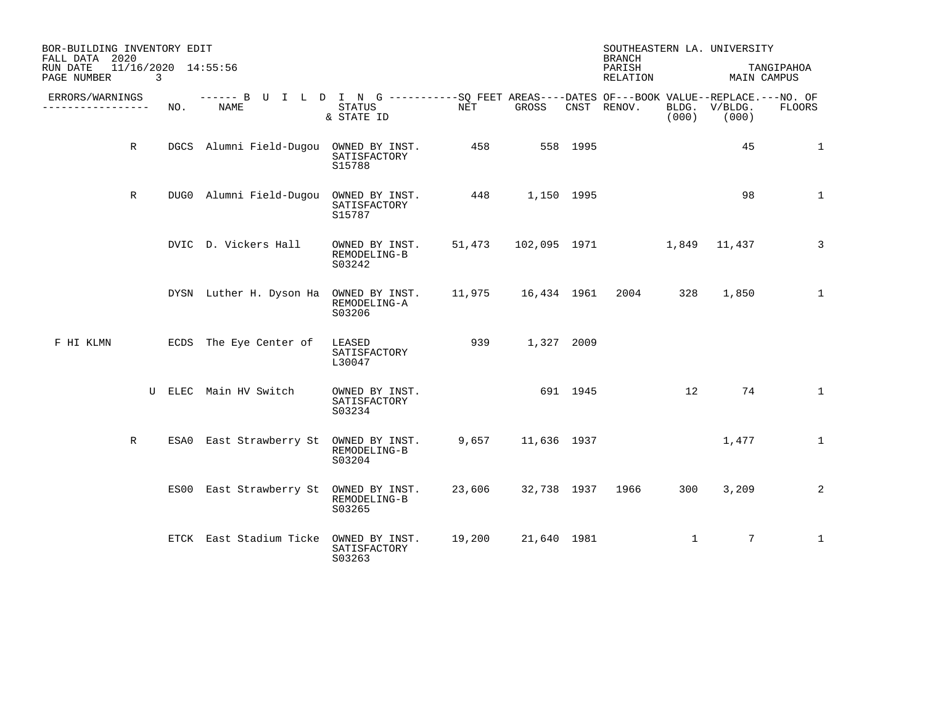| BOR-BUILDING INVENTORY EDIT<br>FALL DATA 2020 |             |     |                                                                                                     |                                          |                    |             |          | <b>BRANCH</b>             |              | SOUTHEASTERN LA. UNIVERSITY |                           |
|-----------------------------------------------|-------------|-----|-----------------------------------------------------------------------------------------------------|------------------------------------------|--------------------|-------------|----------|---------------------------|--------------|-----------------------------|---------------------------|
| RUN DATE<br>PAGE NUMBER                       | 3           |     | 11/16/2020 14:55:56                                                                                 |                                          |                    |             |          | PARISH<br>RELATION        |              |                             | TANGIPAHOA<br>MAIN CAMPUS |
| ERRORS/WARNINGS<br>_________________          |             | NO. | ------ B U I L D I N G -----------SQ FEET AREAS----DATES OF---BOOK VALUE--REPLACE.---NO. OF<br>NAME | STATUS<br>& STATE ID                     | NET                | GROSS       |          | CNST RENOV.               | (000)        | BLDG. V/BLDG.<br>(000)      | <b>FLOORS</b>             |
|                                               | $\mathbb R$ |     | DGCS Alumni Field-Dugou OWNED BY INST.                                                              | SATISFACTORY<br>S15788                   | 458                |             | 558 1995 |                           |              | 45                          | $\mathbf 1$               |
|                                               | $\mathbb R$ |     | DUG0 Alumni Field-Dugou OWNED BY INST.                                                              | SATISFACTORY<br>S15787                   | 448 1,150 1995     |             |          |                           |              | 98                          | $\mathbf 1$               |
|                                               |             |     | DVIC D. Vickers Hall                                                                                | OWNED BY INST.<br>REMODELING-B<br>S03242 |                    |             |          | 51,473    102,095    1971 |              | 1,849 11,437                | 3                         |
|                                               |             |     | DYSN Luther H. Dyson Ha OWNED BY INST.                                                              | REMODELING-A<br>S03206                   | 11,975 16,434 1961 |             |          | 2004                      | 328          | 1,850                       | 1                         |
| F HI KLMN                                     |             |     | ECDS The Eye Center of                                                                              | LEASED<br>SATISFACTORY<br>L30047         | 939 — 10           | 1,327 2009  |          |                           |              |                             |                           |
|                                               |             |     | U ELEC Main HV Switch                                                                               | OWNED BY INST.<br>SATISFACTORY<br>S03234 |                    |             | 691 1945 |                           | 12           | 74                          | $\mathbf{1}$              |
|                                               | R           |     | ESA0 East Strawberry St                                                                             | OWNED BY INST.<br>REMODELING-B<br>S03204 | 9,657              | 11,636 1937 |          |                           |              | 1,477                       | $\mathbf{1}$              |
|                                               |             |     | ES00 East Strawberry St                                                                             | OWNED BY INST.<br>REMODELING-B<br>S03265 | 23,606             | 32,738 1937 |          | 1966                      | 300          | 3,209                       | 2                         |
|                                               |             |     | ETCK East Stadium Ticke OWNED BY INST.                                                              | SATISFACTORY<br>S03263                   | 19,200             | 21,640 1981 |          |                           | $\mathbf{1}$ | 7                           | $\mathbf{1}$              |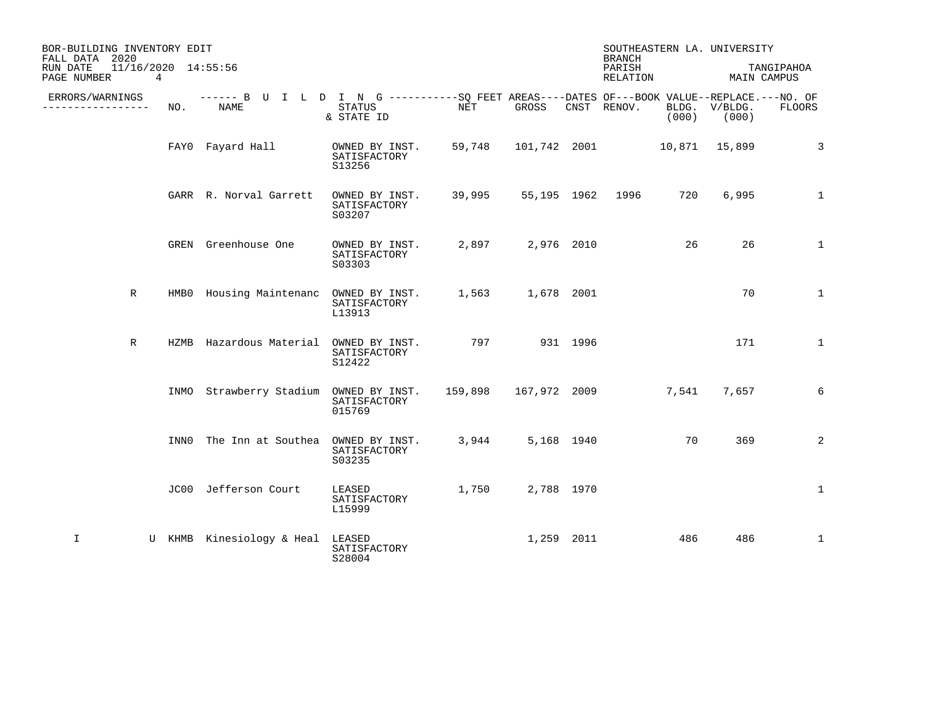| BOR-BUILDING INVENTORY EDIT<br>FALL DATA 2020<br>11/16/2020 14:55:56<br>RUN DATE |      |                                                                                                            |                                          |              |                  | <b>BRANCH</b><br>PARISH           |       | SOUTHEASTERN LA. UNIVERSITY | TANGIPAHOA   |
|----------------------------------------------------------------------------------|------|------------------------------------------------------------------------------------------------------------|------------------------------------------|--------------|------------------|-----------------------------------|-------|-----------------------------|--------------|
| PAGE NUMBER                                                                      | 4    |                                                                                                            |                                          |              |                  | RELATION                          |       | MAIN CAMPUS                 |              |
| ERRORS/WARNINGS<br>-------------                                                 | NO.  | ------ B U I L D I N G -----------SQ FEET AREAS----DATES OF---BOOK VALUE--REPLACE.---NO. OF<br><b>NAME</b> | <b>STATUS</b><br>& STATE ID              | NET          | GROSS            | CNST RENOV.                       | (000) | BLDG. V/BLDG.<br>(000)      | FLOORS       |
|                                                                                  |      | FAYO Fayard Hall                                                                                           | OWNED BY INST.<br>SATISFACTORY<br>S13256 |              |                  | 59,748 101,742 2001 10,871 15,899 |       |                             | 3            |
|                                                                                  |      | GARR R. Norval Garrett                                                                                     | OWNED BY INST.<br>SATISFACTORY<br>S03207 | 39,995       |                  | 55,195 1962 1996                  | 720   | 6,995                       | $\mathbf{1}$ |
|                                                                                  |      | GREN Greenhouse One                                                                                        | OWNED BY INST.<br>SATISFACTORY<br>S03303 |              | 2,897 2,976 2010 |                                   | 26    | 26                          | $\mathbf{1}$ |
| $\mathbb R$                                                                      |      | HMBO Housing Maintenanc OWNED BY INST.                                                                     | SATISFACTORY<br>L13913                   |              | 1,563 1,678 2001 |                                   |       | 70                          | $\mathbf{1}$ |
| $\mathbb R$                                                                      |      | HZMB Hazardous Material OWNED BY INST.                                                                     | SATISFACTORY<br>S12422                   | 797 931 1996 |                  |                                   |       | 171                         | $\mathbf{1}$ |
|                                                                                  |      | INMO Strawberry Stadium OWNED BY INST.                                                                     | SATISFACTORY<br>015769                   |              |                  |                                   | 7,541 | 7,657                       | 6            |
|                                                                                  | INN0 | The Inn at Southea                                                                                         | OWNED BY INST.<br>SATISFACTORY<br>S03235 | 3,944        | 5,168 1940       |                                   | 70    | 369                         | 2            |
|                                                                                  |      | JC00 Jefferson Court                                                                                       | LEASED<br>SATISFACTORY<br>L15999         | 1,750        | 2,788 1970       |                                   |       |                             | $\mathbf 1$  |
| I                                                                                |      | U KHMB Kinesiology & Heal                                                                                  | LEASED<br>SATISFACTORY<br>S28004         |              | 1,259 2011       |                                   | 486   | 486                         | $\mathbf{1}$ |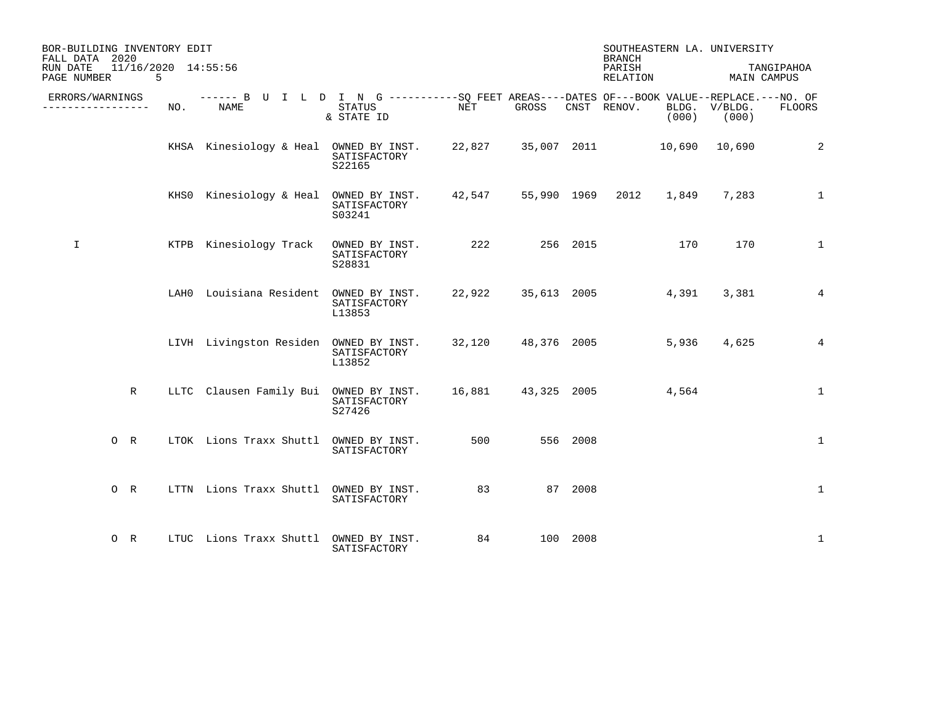| BOR-BUILDING INVENTORY EDIT<br>FALL DATA 2020  |     |                                                                                                     |                                          |     |       |          | <b>BRANCH</b>      |       | SOUTHEASTERN LA. UNIVERSITY |                           |
|------------------------------------------------|-----|-----------------------------------------------------------------------------------------------------|------------------------------------------|-----|-------|----------|--------------------|-------|-----------------------------|---------------------------|
| 11/16/2020 14:55:56<br>RUN DATE<br>PAGE NUMBER | .5  |                                                                                                     |                                          |     |       |          | PARISH<br>RELATION |       |                             | TANGIPAHOA<br>MAIN CAMPUS |
| ERRORS/WARNINGS<br>---------------             | NO. | ------ B U I L D I N G -----------SO FEET AREAS----DATES OF---BOOK VALUE--REPLACE.---NO. OF<br>NAME | STATUS<br>& STATE ID                     | NET | GROSS |          | CNST RENOV.        | (000) | BLDG. V/BLDG.<br>(000)      | FLOORS                    |
|                                                |     | KHSA Kinesiology & Heal OWNED BY INST. 22,827 35,007 2011 10,690 10,690                             | SATISFACTORY<br>S22165                   |     |       |          |                    |       |                             | 2                         |
|                                                |     | KHS0 Kinesiology & Heal OWNED BY INST. 42,547 55,990 1969 2012                                      | SATISFACTORY<br>S03241                   |     |       |          |                    | 1,849 | 7,283                       | $\mathbf{1}$              |
| $\mathbf I$                                    |     | KTPB Kinesiology Track                                                                              | OWNED BY INST.<br>SATISFACTORY<br>S28831 | 222 |       | 256 2015 |                    | 170   | 170                         | $\mathbf{1}$              |
|                                                |     | LAHO Louisiana Resident OWNED BY INST. 22,922 35,613 2005                                           | SATISFACTORY<br>L13853                   |     |       |          |                    | 4,391 | 3,381                       | 4                         |
|                                                |     | LIVH Livingston Residen OWNED BY INST. 32,120 48,376 2005                                           | SATISFACTORY<br>L13852                   |     |       |          |                    | 5,936 | 4,625                       | $\overline{4}$            |
| R                                              |     | LLTC Clausen Family Bui OWNED BY INST. 16,881 43,325 2005                                           | SATISFACTORY<br>S27426                   |     |       |          |                    | 4,564 |                             | $\mathbf{1}$              |
| $O$ R                                          |     | LTOK Lions Traxx Shuttl OWNED BY INST.                                                              | SATISFACTORY                             | 500 |       | 556 2008 |                    |       |                             | $\mathbf 1$               |
| O R                                            |     | LTTN Lions Traxx Shuttl OWNED BY INST.                                                              | SATISFACTORY                             | 83  |       | 87 2008  |                    |       |                             | $\mathbf{1}$              |
| $O$ R                                          |     | LTUC Lions Traxx Shuttl OWNED BY INST.                                                              | SATISFACTORY                             | 84  |       | 100 2008 |                    |       |                             | 1                         |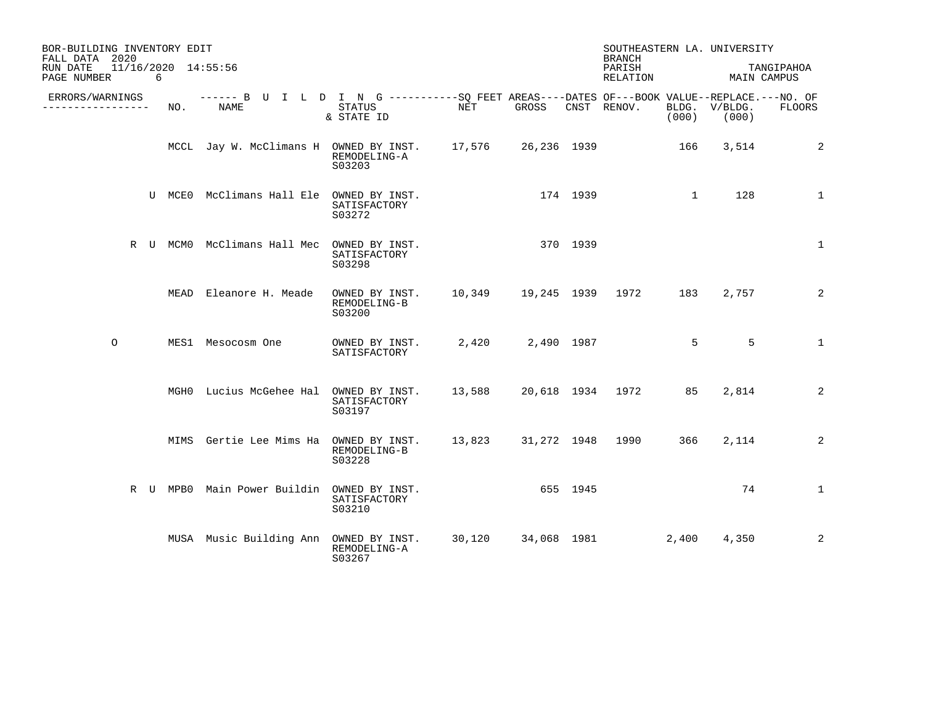| BOR-BUILDING INVENTORY EDIT<br>FALL DATA 2020                     |     |                                                                                                    |                                          |        |          |          | SOUTHEASTERN LA. UNIVERSITY<br><b>BRANCH</b> |              |                        |               |
|-------------------------------------------------------------------|-----|----------------------------------------------------------------------------------------------------|------------------------------------------|--------|----------|----------|----------------------------------------------|--------------|------------------------|---------------|
| 11/16/2020 14:55:56<br>RUN DATE<br>PAGE NUMBER<br>$6\overline{6}$ |     |                                                                                                    |                                          |        |          |          | PARISH<br>RELATION                           |              | MAIN CAMPUS            | TANGIPAHOA    |
| ERRORS/WARNINGS<br>________________                               | NO. | ------ B U I L D I N G ----------SQ FEET AREAS----DATES OF---BOOK VALUE--REPLACE.---NO. OF<br>NAME | STATUS<br>& STATE ID                     | NET    | GROSS    |          | CNST RENOV.                                  | (000)        | BLDG. V/BLDG.<br>(000) | <b>FLOORS</b> |
|                                                                   |     | MCCL Jay W. McClimans H OWNED BY INST. 17,576 26,236 1939                                          | REMODELING-A<br>S03203                   |        |          |          |                                              | 166          | 3,514                  | 2             |
|                                                                   |     | U MCEO McClimans Hall Ele OWNED BY INST.                                                           | SATISFACTORY<br>S03272                   |        | 174 1939 |          |                                              | $\mathbf{1}$ | 128                    | $\mathbf{1}$  |
|                                                                   |     | R U MCMO McClimans Hall Mec OWNED BY INST.                                                         | SATISFACTORY<br>S03298                   |        |          | 370 1939 |                                              |              |                        | $\mathbf{1}$  |
|                                                                   |     | MEAD Eleanore H. Meade                                                                             | OWNED BY INST.<br>REMODELING-B<br>S03200 |        |          |          |                                              | 183          | 2,757                  | 2             |
| $\circ$                                                           |     | MES1 Mesocosm One                                                                                  | OWNED BY INST.<br>SATISFACTORY           |        |          |          | 2,420 2,490 1987                             | $5^{\circ}$  | 5                      | $\mathbf{1}$  |
|                                                                   |     | MGHO Lucius McGehee Hal OWNED BY INST.                                                             | SATISFACTORY<br>S03197                   | 13,588 |          |          | 20,618 1934 1972                             | 85           | 2,814                  | 2             |
|                                                                   |     | MIMS Gertie Lee Mims Ha OWNED BY INST. 13,823 31,272 1948 1990                                     | REMODELING-B<br>S03228                   |        |          |          |                                              | 366          | 2,114                  | 2             |
|                                                                   |     | R U MPB0 Main Power Buildin OWNED BY INST.                                                         | SATISFACTORY<br>S03210                   |        |          | 655 1945 |                                              |              | 74                     | $\mathbf{1}$  |
|                                                                   |     | MUSA Music Building Ann OWNED BY INST.                                                             | REMODELING-A<br>S03267                   | 30,120 |          |          | 34,068 1981                                  | 2,400        | 4,350                  | 2             |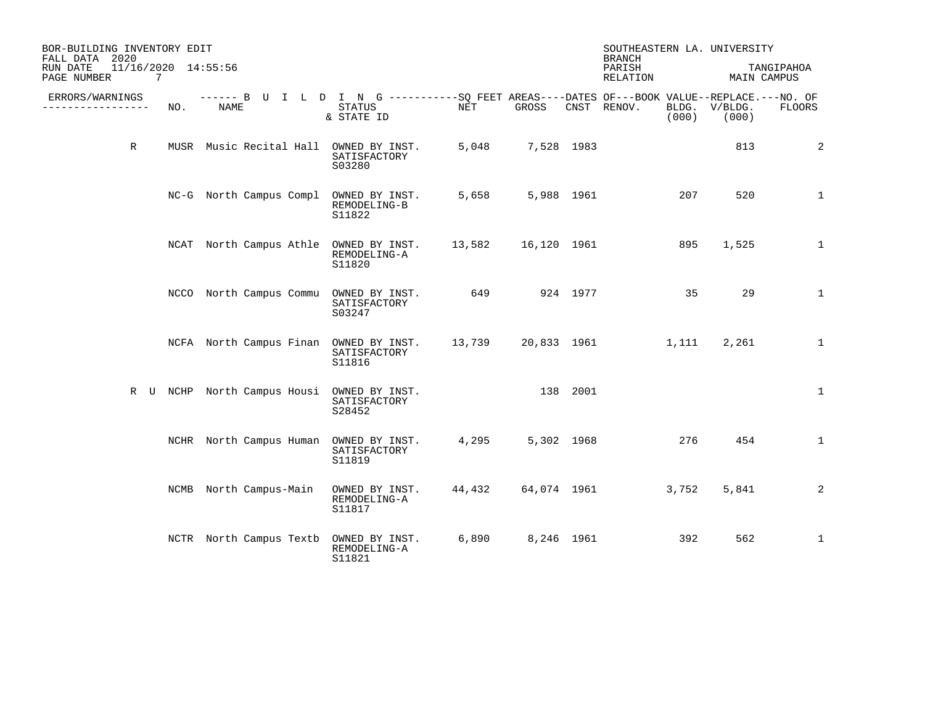| BOR-BUILDING INVENTORY EDIT<br>FALL DATA 2020  |     |                                                                                                    |                                          |                  |                  | SOUTHEASTERN LA. UNIVERSITY<br><b>BRANCH</b> |       |                        |               |
|------------------------------------------------|-----|----------------------------------------------------------------------------------------------------|------------------------------------------|------------------|------------------|----------------------------------------------|-------|------------------------|---------------|
| 11/16/2020 14:55:56<br>RUN DATE<br>PAGE NUMBER | 7   |                                                                                                    |                                          |                  |                  | PARISH<br>RELATION                           |       | MAIN CAMPUS            | TANGIPAHOA    |
| ERRORS/WARNINGS<br>----------------            | NO. | ------ B U I L D I N G ----------SO FEET AREAS----DATES OF---BOOK VALUE--REPLACE.---NO. OF<br>NAME | STATUS<br>& STATE ID                     | NET              | GROSS            | CNST RENOV.                                  | (000) | BLDG. V/BLDG.<br>(000) | <b>FLOORS</b> |
| R                                              |     | MUSR Music Recital Hall OWNED BY INST.                                                             | SATISFACTORY<br>S03280                   |                  | 5,048 7,528 1983 |                                              |       | 813                    | 2             |
|                                                |     | NC-G North Campus Compl OWNED BY INST.                                                             | REMODELING-B<br>S11822                   | 5,658            | 5,988 1961       |                                              | 207   | 520                    | 1             |
|                                                |     | NCAT North Campus Athle OWNED BY INST. 13,582 16,120 1961                                          | REMODELING-A<br>S11820                   |                  |                  |                                              | 895   | 1,525                  | 1             |
|                                                |     | NCCO North Campus Commu OWNED BY INST. 649 924 1977                                                | SATISFACTORY<br>S03247                   |                  |                  |                                              | 35    | 29                     | $\mathbf 1$   |
|                                                |     | NCFA North Campus Finan OWNED BY INST. 13,739 20,833 1961 1,111                                    | SATISFACTORY<br>S11816                   |                  |                  |                                              |       | 2,261                  | $\mathbf 1$   |
|                                                |     | R U NCHP North Campus Housi OWNED BY INST.                                                         | SATISFACTORY<br>S28452                   |                  | 138 2001         |                                              |       |                        | 1             |
|                                                |     | NCHR North Campus Human OWNED BY INST.                                                             | SATISFACTORY<br>S11819                   | 4,295 5,302 1968 |                  |                                              | 276   | 454                    | $\mathbf{1}$  |
|                                                |     | NCMB North Campus-Main                                                                             | OWNED BY INST.<br>REMODELING-A<br>S11817 |                  |                  | 44,432 64,074 1961                           | 3,752 | 5,841                  | 2             |
|                                                |     | NCTR North Campus Textb                                                                            | OWNED BY INST.<br>REMODELING-A<br>S11821 |                  | 6,890 8,246 1961 |                                              | 392   | 562                    | $\mathbf{1}$  |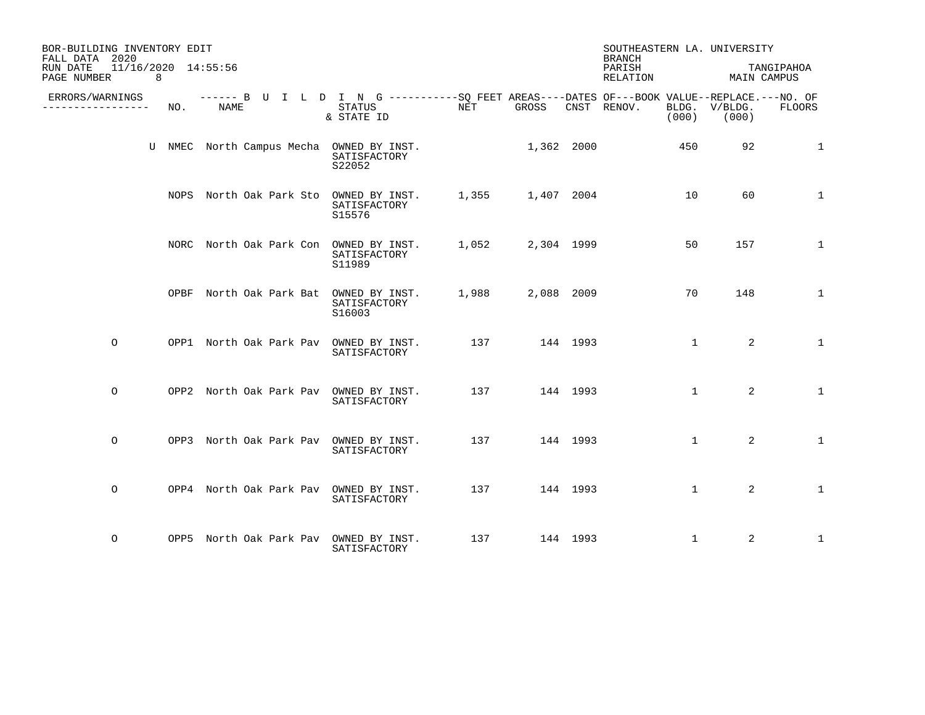| BOR-BUILDING INVENTORY EDIT<br>FALL DATA 2020                                |     |                                                                                                     |                        |     |                  |          | SOUTHEASTERN LA. UNIVERSITY<br>BRANCH |              |                        |              |
|------------------------------------------------------------------------------|-----|-----------------------------------------------------------------------------------------------------|------------------------|-----|------------------|----------|---------------------------------------|--------------|------------------------|--------------|
| 11/16/2020 14:55:56<br>RUN DATE<br>PAGE NUMBER<br>$\overline{\phantom{a}}$ 8 |     |                                                                                                     |                        |     |                  |          | PARISH<br>RELATION                    |              | MAIN CAMPUS            | TANGIPAHOA   |
| ERRORS/WARNINGS<br>. _ _ _ _ _ _ _ _ _ _ _ _ _ _                             | NO. | ------ B U I L D I N G -----------SO FEET AREAS----DATES OF---BOOK VALUE--REPLACE.---NO. OF<br>NAME | STATUS<br>& STATE ID   | NET | GROSS            |          | CNST RENOV.                           | (000)        | BLDG. V/BLDG.<br>(000) | FLOORS       |
|                                                                              |     | U NMEC North Campus Mecha OWNED BY INST.                                                            | SATISFACTORY<br>S22052 |     | $1,362$ 2000     |          |                                       | 450          | 92                     | $\mathbf{1}$ |
|                                                                              |     | NOPS North Oak Park Sto OWNED BY INST.                                                              | SATISFACTORY<br>S15576 |     |                  |          | 1,355 1,407 2004 10                   |              | 60                     | $\mathbf{1}$ |
|                                                                              |     | NORC North Oak Park Con OWNED BY INST.                                                              | SATISFACTORY<br>S11989 |     | 1,052 2,304 1999 |          |                                       | 50           | 157                    | $\mathbf{1}$ |
|                                                                              |     | OPBF North Oak Park Bat OWNED BY INST.                                                              | SATISFACTORY<br>S16003 |     | 1,988 2,088 2009 |          |                                       | 70           | 148                    | $\mathbf{1}$ |
| $\circ$                                                                      |     | OPP1 North Oak Park Pav OWNED BY INST.                                                              | SATISFACTORY           |     | 137 144 1993     |          |                                       | $\mathbf{1}$ | 2                      | $\mathbf{1}$ |
| $\Omega$                                                                     |     | OPP2 North Oak Park Pav OWNED BY INST.                                                              | SATISFACTORY           |     | 137 144 1993     |          |                                       | $\mathbf{1}$ | 2                      | $\mathbf{1}$ |
| $\circ$                                                                      |     | OPP3 North Oak Park Pav OWNED BY INST.                                                              | SATISFACTORY           | 137 |                  | 144 1993 |                                       | $\mathbf{1}$ | 2                      | $\mathbf{1}$ |
| $\circ$                                                                      |     | OPP4 North Oak Park Pav OWNED BY INST.                                                              | SATISFACTORY           |     | 137 144 1993     |          |                                       | $\mathbf{1}$ | 2                      | $\mathbf{1}$ |
| $\circ$                                                                      |     | OPP5 North Oak Park Pav OWNED BY INST.                                                              | SATISFACTORY           |     | 137 144 1993     |          |                                       | $\mathbf 1$  | 2                      | 1            |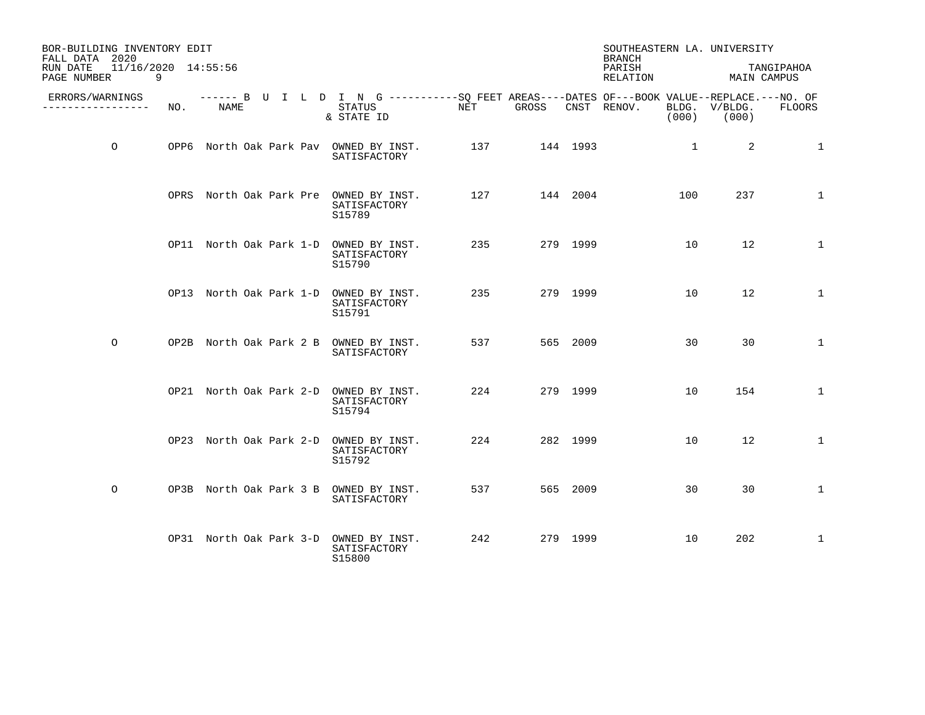| BOR-BUILDING INVENTORY EDIT<br>FALL DATA 2020<br>11/16/2020 14:55:56<br>RUN DATE |     |      |                                                                                                                     |           |              |          | SOUTHEASTERN LA. UNIVERSITY<br><b>BRANCH</b><br>PARISH |                |                                  | TANGIPAHOA   |
|----------------------------------------------------------------------------------|-----|------|---------------------------------------------------------------------------------------------------------------------|-----------|--------------|----------|--------------------------------------------------------|----------------|----------------------------------|--------------|
| PAGE NUMBER<br>9                                                                 |     |      |                                                                                                                     |           |              |          | RELATION                                               |                | MAIN CAMPUS                      |              |
| ERRORS/WARNINGS<br>----------------                                              | NO. | NAME | ------ B U I L D I N G -----------SO FEET AREAS----DATES OF---BOOK VALUE--REPLACE.---NO. OF<br>STATUS<br>& STATE ID | NET GROSS |              |          | CNST RENOV.                                            |                | BLDG. V/BLDG.<br>$(000)$ $(000)$ | FLOORS       |
| $\circ$                                                                          |     |      | OPP6 North Oak Park Pav OWNED BY INST.<br>SATISFACTORY                                                              |           | 137 144 1993 |          |                                                        | $\overline{1}$ | 2                                | 1            |
|                                                                                  |     |      | OPRS North Oak Park Pre OWNED BY INST.<br>SATISFACTORY<br>S15789                                                    | 127       | 144 2004     |          |                                                        | 100            | 237                              | 1            |
|                                                                                  |     |      | OP11 North Oak Park 1-D OWNED BY INST.<br>SATISFACTORY<br>S15790                                                    |           | 235 279 1999 |          |                                                        | 10             | 12                               | $\mathbf{1}$ |
|                                                                                  |     |      | OP13 North Oak Park 1-D OWNED BY INST.<br>SATISFACTORY<br>S15791                                                    | 235       |              | 279 1999 |                                                        | 10             | 12                               | $\mathbf 1$  |
| $\circ$                                                                          |     |      | OP2B North Oak Park 2 B OWNED BY INST.<br>SATISFACTORY                                                              |           | 537 565 2009 |          |                                                        | 30             | 30                               | $\mathbf{1}$ |
|                                                                                  |     |      | OP21 North Oak Park 2-D OWNED BY INST.<br>SATISFACTORY<br>S15794                                                    | 224       |              | 279 1999 |                                                        | 10             | 154                              | $\mathbf 1$  |
|                                                                                  |     |      | OP23 North Oak Park 2-D OWNED BY INST.<br>SATISFACTORY<br>S15792                                                    | 224       |              | 282 1999 |                                                        | 10             | 12                               | $\mathbf{1}$ |
| $\circ$                                                                          |     |      | OP3B North Oak Park 3 B OWNED BY INST.<br>SATISFACTORY                                                              | 537       |              | 565 2009 |                                                        | 30             | 30                               | $\mathbf{1}$ |
|                                                                                  |     |      | OP31 North Oak Park 3-D OWNED BY INST.<br>SATISFACTORY<br>S15800                                                    | 242       |              | 279 1999 |                                                        | 10             | 202                              | 1            |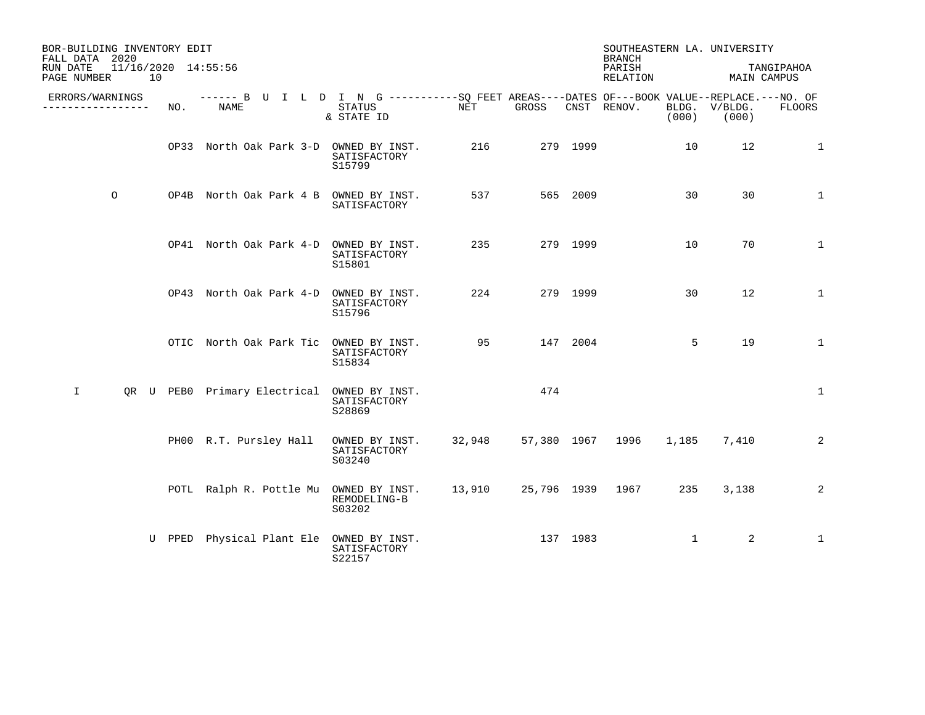| BOR-BUILDING INVENTORY EDIT<br>FALL DATA 2020        |        |                                                                                                    |                                          |        |          |          | <b>BRANCH</b>      |              | SOUTHEASTERN LA. UNIVERSITY    |              |
|------------------------------------------------------|--------|----------------------------------------------------------------------------------------------------|------------------------------------------|--------|----------|----------|--------------------|--------------|--------------------------------|--------------|
| RUN DATE<br>11/16/2020 14:55:56<br>10<br>PAGE NUMBER |        |                                                                                                    |                                          |        |          |          | PARISH<br>RELATION |              | MAIN CAMPUS                    | TANGIPAHOA   |
| ERRORS/WARNINGS<br>---------------                   | NO.    | ------ B U I L D I N G ----------SQ FEET AREAS----DATES OF---BOOK VALUE--REPLACE.---NO. OF<br>NAME | STATUS<br>& STATE ID                     | NET    | GROSS    |          | CNST RENOV.        |              | BLDG. V/BLDG.<br>$(000)$ (000) | FLOORS       |
|                                                      |        | OP33 North Oak Park 3-D OWNED BY INST.                                                             | SATISFACTORY<br>S15799                   | 216    |          | 279 1999 |                    | 10           | 12                             | $\mathbf{1}$ |
| $\circ$                                              |        | OP4B North Oak Park 4 B OWNED BY INST.                                                             | SATISFACTORY                             | 537    |          | 565 2009 |                    | 30           | 30                             | $\mathbf{1}$ |
|                                                      |        | OP41 North Oak Park 4-D OWNED BY INST.                                                             | SATISFACTORY<br>S15801                   | 235    |          | 279 1999 |                    | 10           | 70                             | $\mathbf{1}$ |
|                                                      |        | OP43 North Oak Park 4-D OWNED BY INST.                                                             | SATISFACTORY<br>S15796                   | 224    |          | 279 1999 |                    | 30           | 12                             | $\mathbf 1$  |
|                                                      |        | OTIC North Oak Park Tic OWNED BY INST.                                                             | SATISFACTORY<br>S15834                   | 95 30  |          | 147 2004 |                    | 5            | 19                             | $\mathbf{1}$ |
| $\mathbf{I}$                                         |        | QR U PEBO Primary Electrical OWNED BY INST.                                                        | SATISFACTORY<br>S28869                   |        | 474      |          |                    |              |                                | 1            |
|                                                      |        | PH00 R.T. Pursley Hall                                                                             | OWNED BY INST.<br>SATISFACTORY<br>S03240 | 32,948 |          |          | 57,380 1967 1996   | 1,185        | 7,410                          | 2            |
|                                                      |        | POTL Ralph R. Pottle Mu OWNED BY INST. 13,910                                                      | REMODELING-B<br>S03202                   |        |          |          | 25,796 1939 1967   | 235          | 3,138                          | 2            |
|                                                      | U PPED | Physical Plant Ele OWNED BY INST.                                                                  | SATISFACTORY<br>S22157                   |        | 137 1983 |          |                    | $\mathbf{1}$ | 2                              | 1            |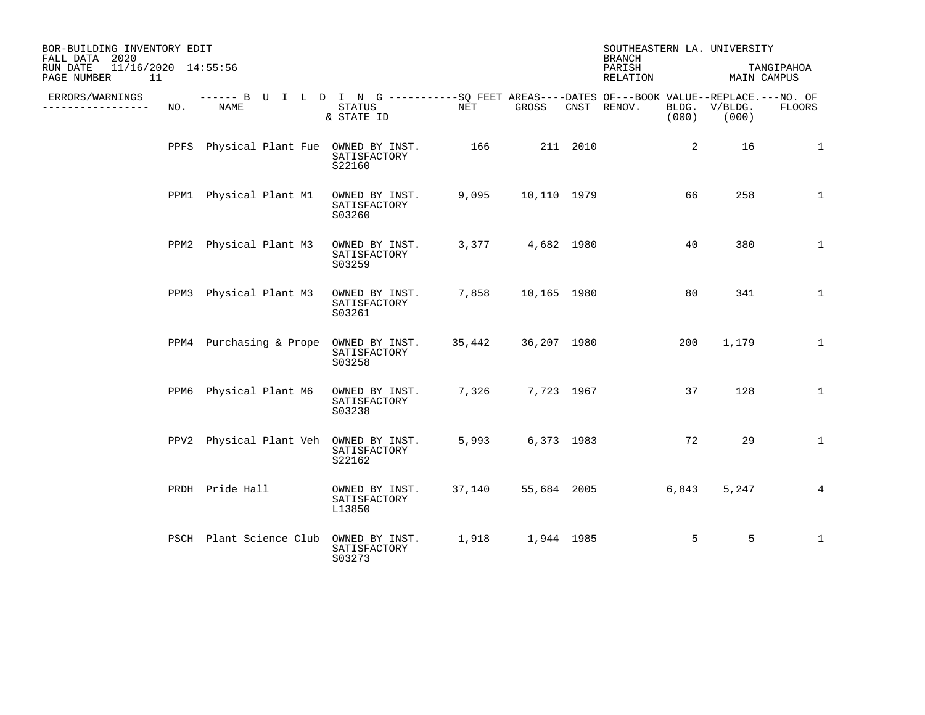| BOR-BUILDING INVENTORY EDIT<br>FALL DATA 2020        |     |                         |  |                                                                                                                           |        |                  |          | SOUTHEASTERN LA. UNIVERSITY<br><b>BRANCH</b> |                |                        |                           |
|------------------------------------------------------|-----|-------------------------|--|---------------------------------------------------------------------------------------------------------------------------|--------|------------------|----------|----------------------------------------------|----------------|------------------------|---------------------------|
| 11/16/2020 14:55:56<br>RUN DATE<br>11<br>PAGE NUMBER |     |                         |  |                                                                                                                           |        |                  |          | PARISH<br>RELATION                           |                |                        | TANGIPAHOA<br>MAIN CAMPUS |
| ERRORS/WARNINGS<br>-------------                     | NO. | NAME                    |  | ------ B U I L D I N G ----------SQ FEET AREAS----DATES OF---BOOK VALUE--REPLACE.---NO. OF<br><b>STATUS</b><br>& STATE ID | NET    | GROSS            |          | CNST RENOV.                                  | (000)          | BLDG. V/BLDG.<br>(000) | <b>FLOORS</b>             |
|                                                      |     |                         |  | PPFS Physical Plant Fue OWNED BY INST.<br>SATISFACTORY<br>S22160                                                          | 166    |                  | 211 2010 |                                              | $\overline{2}$ | 16                     | $\mathbf 1$               |
|                                                      |     | PPM1 Physical Plant M1  |  | OWNED BY INST.<br>SATISFACTORY<br>S03260                                                                                  | 9,095  | 10,110 1979      |          |                                              | 66             | 258                    | $\mathbf 1$               |
|                                                      |     | PPM2 Physical Plant M3  |  | OWNED BY INST.<br>SATISFACTORY<br>S03259                                                                                  |        | 3,377 4,682 1980 |          |                                              | 40             | 380                    | $\mathbf{1}$              |
|                                                      |     | PPM3 Physical Plant M3  |  | OWNED BY INST.<br>SATISFACTORY<br>S03261                                                                                  | 7,858  | 10,165 1980      |          |                                              | 80             | 341                    | $\mathbf 1$               |
|                                                      |     | PPM4 Purchasing & Prope |  | OWNED BY INST.<br>SATISFACTORY<br>S03258                                                                                  | 35,442 | 36,207 1980      |          |                                              | 200            | 1,179                  | $\mathbf{1}$              |
|                                                      |     | PPM6 Physical Plant M6  |  | OWNED BY INST.<br>SATISFACTORY<br>S03238                                                                                  | 7,326  | 7,723 1967       |          |                                              | 37             | 128                    | $\mathbf 1$               |
|                                                      |     |                         |  | PPV2 Physical Plant Veh OWNED BY INST.<br>SATISFACTORY<br>S22162                                                          | 5,993  | 6,373 1983       |          |                                              | 72             | 29                     | $\mathbf{1}$              |
|                                                      |     | PRDH Pride Hall         |  | OWNED BY INST.<br>SATISFACTORY<br>L13850                                                                                  | 37,140 |                  |          | 55,684 2005                                  | 6,843          | 5,247                  | 4                         |
|                                                      |     | PSCH Plant Science Club |  | OWNED BY INST.<br>SATISFACTORY<br>S03273                                                                                  | 1,918  | 1,944 1985       |          |                                              | 5              | 5                      | $\mathbf{1}$              |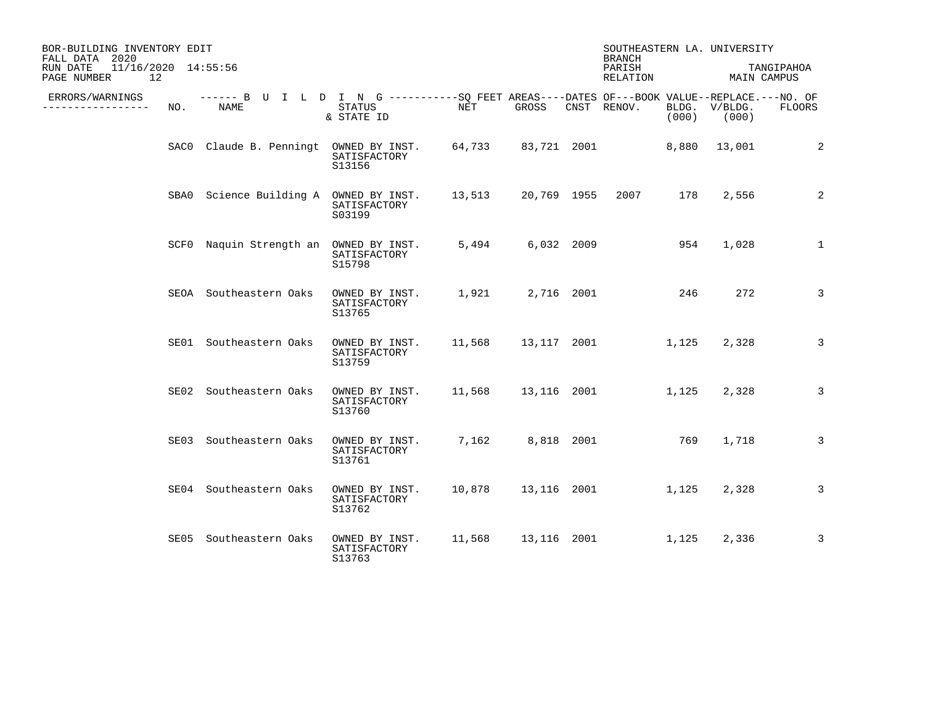| BOR-BUILDING INVENTORY EDIT<br>FALL DATA 2020<br>11/16/2020 14:55:56<br>RUN DATE<br>PAGE NUMBER<br>12 |     |                                                                                                    |                                          |        |                      | <b>BRANCH</b><br>PARISH<br>RELATION |       | SOUTHEASTERN LA. UNIVERSITY<br>MAIN CAMPUS | TANGIPAHOA   |
|-------------------------------------------------------------------------------------------------------|-----|----------------------------------------------------------------------------------------------------|------------------------------------------|--------|----------------------|-------------------------------------|-------|--------------------------------------------|--------------|
| ERRORS/WARNINGS<br>. <u>.</u> .                                                                       | NO. | ------ B U I L D I N G ----------SQ FEET AREAS----DATES OF---BOOK VALUE--REPLACE.---NO. OF<br>NAME | STATUS<br>& STATE ID                     | NET    | GROSS                | CNST RENOV.                         | (000) | BLDG. V/BLDG.<br>(000)                     | FLOORS       |
|                                                                                                       |     | SACO Claude B. Penningt OWNED BY INST.                                                             | SATISFACTORY<br>S13156                   |        |                      | 64,733 83,721 2001                  |       | 8,880 13,001                               | 2            |
|                                                                                                       |     | SBA0 Science Building A OWNED BY INST.                                                             | SATISFACTORY<br>S03199                   | 13,513 | 20,769 1955          | 2007                                | 178   | 2,556                                      | 2            |
|                                                                                                       |     | SCF0 Naquin Strength an OWNED BY INST.                                                             | SATISFACTORY<br>S15798                   | 5,494  | 6,032 2009           |                                     | 954   | 1,028                                      | $\mathbf{1}$ |
|                                                                                                       |     | SEOA Southeastern Oaks                                                                             | OWNED BY INST.<br>SATISFACTORY<br>S13765 | 1,921  | 2,716 2001           | 246                                 |       | 272                                        | 3            |
|                                                                                                       |     | SE01 Southeastern Oaks                                                                             | OWNED BY INST.<br>SATISFACTORY<br>S13759 |        |                      | 11,568  13,117  2001  1,125         |       | 2,328                                      | 3            |
|                                                                                                       |     | SE02 Southeastern Oaks                                                                             | OWNED BY INST.<br>SATISFACTORY<br>S13760 |        |                      | 11,568  13,116  2001                | 1,125 | 2,328                                      | 3            |
|                                                                                                       |     | SE03 Southeastern Oaks                                                                             | OWNED BY INST.<br>SATISFACTORY<br>S13761 |        | 7,162 8,818 2001     |                                     | 769   | 1,718                                      | 3            |
|                                                                                                       |     | SE04 Southeastern Oaks                                                                             | OWNED BY INST.<br>SATISFACTORY<br>S13762 | 10,878 |                      | 13,116 2001                         | 1,125 | 2,328                                      | 3            |
|                                                                                                       |     | SE05 Southeastern Oaks                                                                             | OWNED BY INST.<br>SATISFACTORY<br>S13763 |        | 11,568  13,116  2001 |                                     | 1,125 | 2,336                                      | 3            |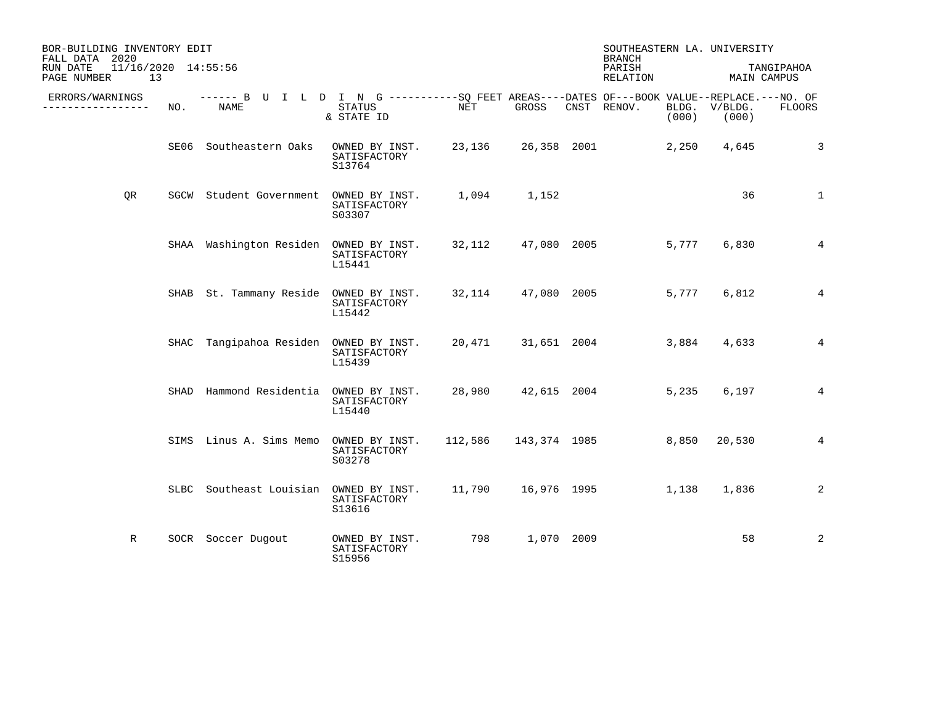| BOR-BUILDING INVENTORY EDIT<br>FALL DATA 2020        |      |                                                                                                    |                                          |        |                | <b>BRANCH</b>            |       | SOUTHEASTERN LA. UNIVERSITY |                |
|------------------------------------------------------|------|----------------------------------------------------------------------------------------------------|------------------------------------------|--------|----------------|--------------------------|-------|-----------------------------|----------------|
| 11/16/2020 14:55:56<br>RUN DATE<br>13<br>PAGE NUMBER |      |                                                                                                    |                                          |        |                | PARISH<br>RELATION       |       | MAIN CAMPUS                 | TANGIPAHOA     |
| ERRORS/WARNINGS<br>---------------                   | NO.  | ------ B U I L D I N G ----------SO FEET AREAS----DATES OF---BOOK VALUE--REPLACE.---NO. OF<br>NAME | STATUS<br>& STATE ID                     | NET    | GROSS          | CNST RENOV.              | (000) | BLDG. V/BLDG.<br>(000)      | FLOORS         |
|                                                      |      | SE06 Southeastern Oaks                                                                             | OWNED BY INST.<br>SATISFACTORY<br>S13764 | 23,136 | 26,358 2001    |                          | 2,250 | 4,645                       | 3              |
| QR                                                   |      | SGCW Student Government OWNED BY INST.                                                             | SATISFACTORY<br>S03307                   |        | 1,094 1,152    |                          |       | 36                          | $\mathbf{1}$   |
|                                                      |      | SHAA Washington Residen OWNED BY INST. 32,112                                                      | SATISFACTORY<br>L15441                   |        |                | 47,080 2005              | 5,777 | 6,830                       | $\overline{4}$ |
|                                                      |      | SHAB St. Tammany Reside OWNED BY INST.                                                             | SATISFACTORY<br>L15442                   | 32,114 |                | 47,080 2005              | 5,777 | 6,812                       | 4              |
|                                                      | SHAC | Tangipahoa Residen OWNED BY INST.                                                                  | SATISFACTORY<br>L15439                   |        |                | 20,471 31,651 2004       | 3,884 | 4,633                       | $\overline{4}$ |
|                                                      |      | SHAD Hammond Residentia OWNED BY INST.                                                             | SATISFACTORY<br>L15440                   | 28,980 |                | 42,615 2004              | 5,235 | 6,197                       | 4              |
|                                                      |      | SIMS Linus A. Sims Memo                                                                            | OWNED BY INST.<br>SATISFACTORY<br>S03278 |        |                | 112,586 143,374 1985     | 8,850 | 20,530                      | 4              |
|                                                      |      | SLBC Southeast Louisian OWNED BY INST.                                                             | SATISFACTORY<br>S13616                   |        |                | 11,790    16,976    1995 | 1,138 | 1,836                       | 2              |
| R                                                    |      | SOCR Soccer Dugout                                                                                 | OWNED BY INST.<br>SATISFACTORY<br>S15956 |        | 798 1,070 2009 |                          |       | 58                          | 2              |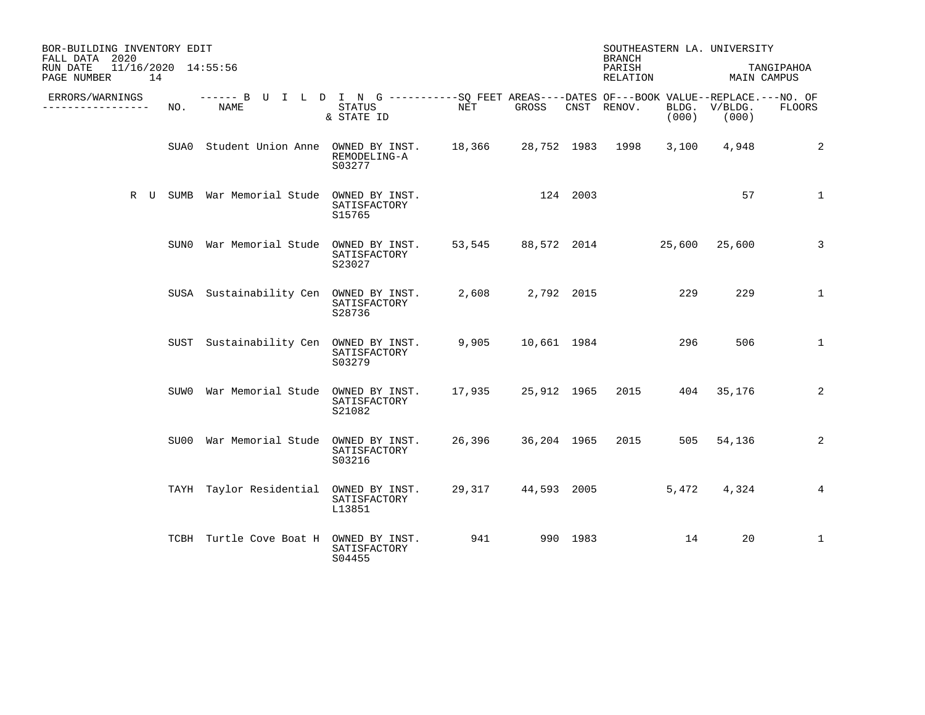| BOR-BUILDING INVENTORY EDIT<br>FALL DATA 2020<br>11/16/2020 14:55:56<br>RUN DATE<br>PAGE NUMBER<br>14 |     |                                                                                                     |                                          |            |                  | <b>BRANCH</b><br>PARISH<br>RELATION     |       | SOUTHEASTERN LA. UNIVERSITY<br>MAIN CAMPUS | TANGIPAHOA   |
|-------------------------------------------------------------------------------------------------------|-----|-----------------------------------------------------------------------------------------------------|------------------------------------------|------------|------------------|-----------------------------------------|-------|--------------------------------------------|--------------|
| ERRORS/WARNINGS<br>______________                                                                     | NO. | ------ B U I L D I N G -----------SQ FEET AREAS----DATES OF---BOOK VALUE--REPLACE.---NO. OF<br>NAME | STATUS<br>& STATE ID                     | <b>NET</b> | GROSS            | CNST RENOV.                             | (000) | BLDG. V/BLDG.<br>(000)                     | FLOORS       |
|                                                                                                       |     | SUA0 Student Union Anne OWNED BY INST. 18,366 28,752 1983 1998                                      | REMODELING-A<br>S03277                   |            |                  |                                         | 3,100 | 4,948                                      | 2            |
|                                                                                                       |     | R U SUMB War Memorial Stude OWNED BY INST.                                                          | SATISFACTORY<br>S15765                   |            | 124 2003         |                                         |       | 57                                         | $\mathbf 1$  |
|                                                                                                       |     | SUNO War Memorial Stude OWNED BY INST.                                                              | SATISFACTORY<br>S23027                   |            |                  | 53,545 88,572 2014 25,600 25,600        |       |                                            | 3            |
|                                                                                                       |     | SUSA Sustainability Cen OWNED BY INST.                                                              | SATISFACTORY<br>S28736                   |            | 2,608 2,792 2015 |                                         | 229   | 229                                        | $\mathbf 1$  |
|                                                                                                       |     | SUST Sustainability Cen OWNED BY INST.                                                              | SATISFACTORY<br>S03279                   |            |                  | 9,905 10,661 1984                       | 296   | 506                                        | $\mathbf{1}$ |
|                                                                                                       |     | SUW0 War Memorial Stude OWNED BY INST.                                                              | SATISFACTORY<br>S21082                   |            |                  | 17,935  25,912  1965  2015  404  35,176 |       |                                            | 2            |
|                                                                                                       |     | SU00 War Memorial Stude OWNED BY INST.                                                              | SATISFACTORY<br>S03216                   |            |                  | 26,396 36,204 1965 2015 505 54,136      |       |                                            | 2            |
|                                                                                                       |     | TAYH Taylor Residential OWNED BY INST.                                                              | SATISFACTORY<br>L13851                   |            |                  | 29,317 44,593 2005                      | 5,472 | 4,324                                      | 4            |
|                                                                                                       |     | TCBH Turtle Cove Boat H                                                                             | OWNED BY INST.<br>SATISFACTORY<br>S04455 | 941        | 990 1983         |                                         | 14    | 20                                         | 1            |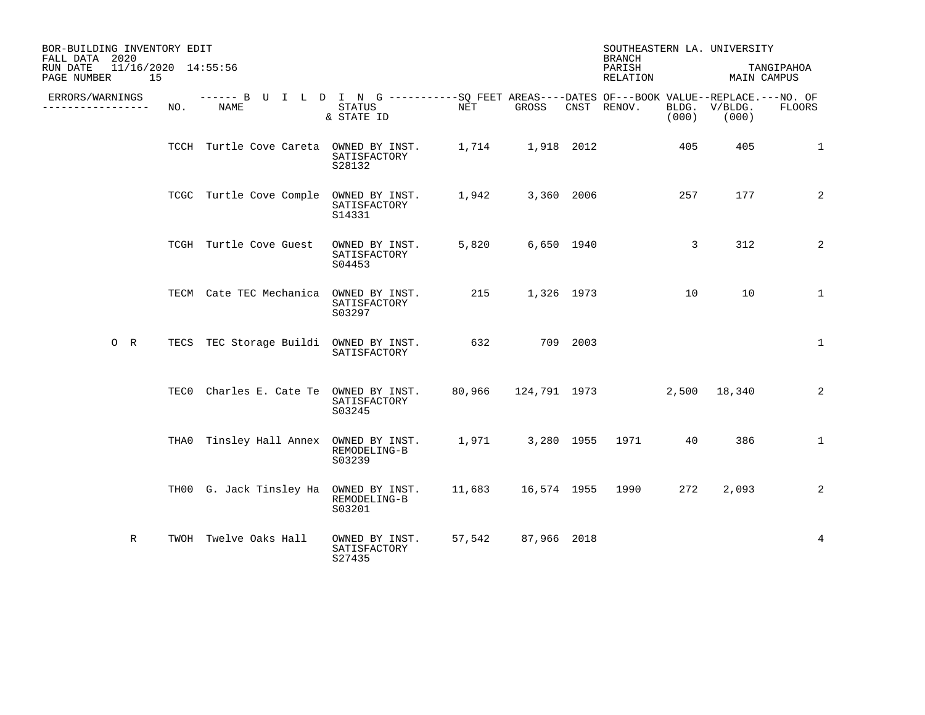| BOR-BUILDING INVENTORY EDIT<br>FALL DATA 2020        |     |                                                                                                           |                                          |        |                  |          | SOUTHEASTERN LA. UNIVERSITY<br><b>BRANCH</b> |               |                        |                           |
|------------------------------------------------------|-----|-----------------------------------------------------------------------------------------------------------|------------------------------------------|--------|------------------|----------|----------------------------------------------|---------------|------------------------|---------------------------|
| 11/16/2020 14:55:56<br>RUN DATE<br>15<br>PAGE NUMBER |     |                                                                                                           |                                          |        |                  |          | PARISH<br>RELATION                           |               |                        | TANGIPAHOA<br>MAIN CAMPUS |
| ERRORS/WARNINGS<br>-------------                     | NO. | ------ B U I L D I N G ----------SQ FEET AREAS----DATES OF---BOOK VALUE--REPLACE.---NO. OF<br><b>NAME</b> | STATUS<br>& STATE ID                     | NET    | GROSS            |          | CNST RENOV.                                  | (000)         | BLDG. V/BLDG.<br>(000) | <b>FLOORS</b>             |
|                                                      |     | TCCH Turtle Cove Careta OWNED BY INST.                                                                    | SATISFACTORY<br>S28132                   |        | 1,714 1,918 2012 |          |                                              | 405           | 405                    | $\mathbf 1$               |
|                                                      |     | TCGC Turtle Cove Comple OWNED BY INST.                                                                    | SATISFACTORY<br>S14331                   |        | 1,942 3,360 2006 |          |                                              | 257           | 177                    | 2                         |
|                                                      |     | TCGH Turtle Cove Guest                                                                                    | OWNED BY INST.<br>SATISFACTORY<br>S04453 | 5,820  | 6,650 1940       |          |                                              | $\mathcal{E}$ | 312                    | 2                         |
|                                                      |     | TECM Cate TEC Mechanica OWNED BY INST.                                                                    | SATISFACTORY<br>S03297                   | 215    | 1,326 1973       |          |                                              | 10            | 10                     | $\mathbf{1}$              |
| $O$ R                                                |     | TECS TEC Storage Buildi OWNED BY INST. 632                                                                | SATISFACTORY                             |        |                  | 709 2003 |                                              |               |                        | $\mathbf 1$               |
|                                                      |     | TECO Charles E. Cate Te OWNED BY INST.                                                                    | SATISFACTORY<br>S03245                   |        |                  |          | 80,966 124,791 1973                          |               | 2,500 18,340           | 2                         |
|                                                      |     | THAO Tinsley Hall Annex OWNED BY INST.                                                                    | REMODELING-B<br>S03239                   |        |                  |          | 1,971 3,280 1955 1971                        | 40            | 386                    | $\mathbf{1}$              |
|                                                      |     | TH00 G. Jack Tinsley Ha OWNED BY INST.                                                                    | REMODELING-B<br>S03201                   |        |                  |          |                                              | 272           | 2,093                  | 2                         |
| $\mathbb{R}$                                         |     | TWOH Twelve Oaks Hall                                                                                     | OWNED BY INST.<br>SATISFACTORY<br>S27435 | 57,542 | 87,966 2018      |          |                                              |               |                        | $\overline{4}$            |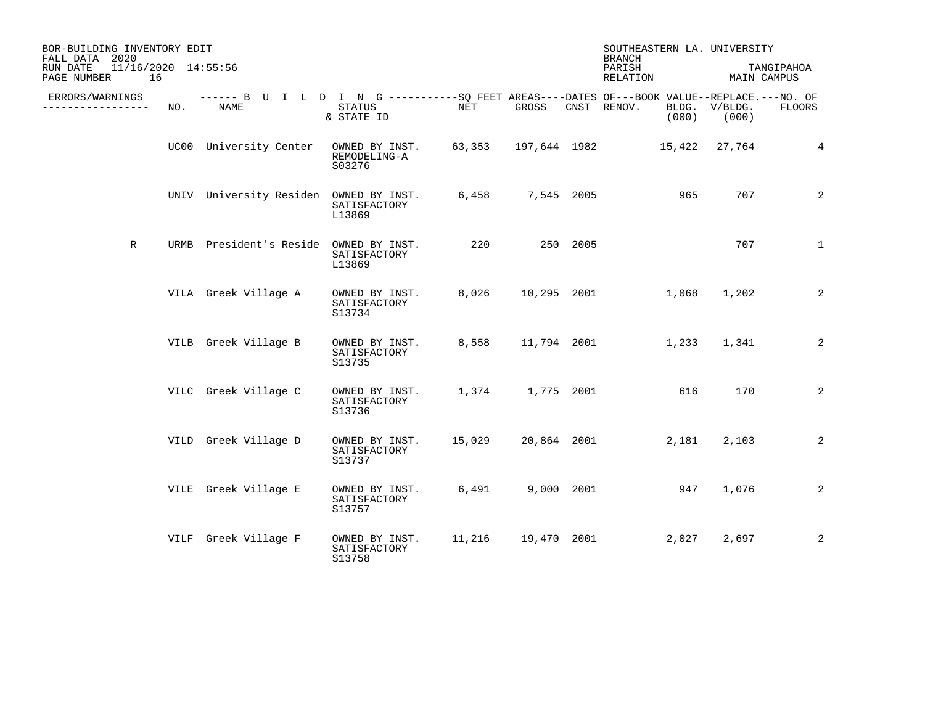| BOR-BUILDING INVENTORY EDIT<br>FALL DATA 2020<br>11/16/2020 14:55:56<br>RUN DATE<br>PAGE NUMBER<br>16 |     |                                                                                                     |                                          |        |                  |          | SOUTHEASTERN LA. UNIVERSITY<br><b>BRANCH</b><br>PARISH<br>RELATION | MAIN CAMPUS            | TANGIPAHOA    |
|-------------------------------------------------------------------------------------------------------|-----|-----------------------------------------------------------------------------------------------------|------------------------------------------|--------|------------------|----------|--------------------------------------------------------------------|------------------------|---------------|
| ERRORS/WARNINGS<br>. <u>.</u> .                                                                       | NO. | ------ B U I L D I N G -----------SQ FEET AREAS----DATES OF---BOOK VALUE--REPLACE.---NO. OF<br>NAME | STATUS<br>& STATE ID                     | NET    | GROSS            |          | CNST RENOV.<br>(000)                                               | BLDG. V/BLDG.<br>(000) | <b>FLOORS</b> |
|                                                                                                       |     | UC00 University Center                                                                              | OWNED BY INST.<br>REMODELING-A<br>S03276 |        |                  |          | 63,353 197,644 1982 15,422 27,764                                  |                        | 4             |
|                                                                                                       |     | UNIV University Residen OWNED BY INST.                                                              | SATISFACTORY<br>L13869                   | 6,458  | 7,545 2005       |          | 965                                                                | 707                    | 2             |
| $\mathbb R$                                                                                           |     | URMB President's Reside OWNED BY INST.                                                              | SATISFACTORY<br>L13869                   | 220    |                  | 250 2005 |                                                                    | 707                    | $\mathbf{1}$  |
|                                                                                                       |     | VILA Greek Village A                                                                                | OWNED BY INST.<br>SATISFACTORY<br>S13734 | 8,026  |                  |          | 10,295 2001<br>1,068                                               | 1,202                  | 2             |
|                                                                                                       |     | VILB Greek Village B                                                                                | OWNED BY INST.<br>SATISFACTORY<br>S13735 | 8,558  | 11,794 2001      |          | 1,233                                                              | 1,341                  | 2             |
|                                                                                                       |     | VILC Greek Village C                                                                                | OWNED BY INST.<br>SATISFACTORY<br>S13736 |        | 1,374 1,775 2001 |          | 616                                                                | 170                    | 2             |
|                                                                                                       |     | VILD Greek Village D                                                                                | OWNED BY INST.<br>SATISFACTORY<br>S13737 | 15,029 | 20,864 2001      |          | 2,181                                                              | 2,103                  | 2             |
|                                                                                                       |     | VILE Greek Village E                                                                                | OWNED BY INST.<br>SATISFACTORY<br>S13757 | 6,491  | 9,000 2001       |          | 947                                                                | 1,076                  | 2             |
|                                                                                                       |     | VILF Greek Village F                                                                                | OWNED BY INST.<br>SATISFACTORY<br>S13758 | 11,216 | 19,470 2001      |          | 2,027                                                              | 2,697                  | 2             |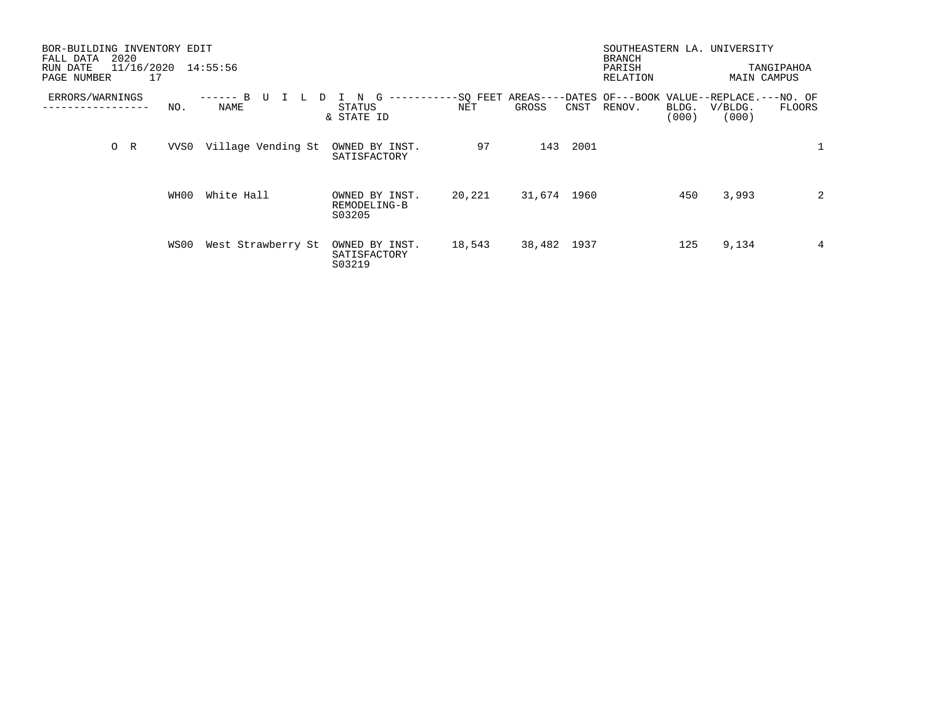| BOR-BUILDING INVENTORY EDIT<br>2020<br>FALL DATA<br>11/16/2020<br>RUN DATE<br>17<br>PAGE NUMBER |      | 14:55:56                               |                                          |                 |             |      | <b>BRANCH</b><br>PARISH<br>RELATION |                | SOUTHEASTERN LA. UNIVERSITY<br>MAIN CAMPUS                            | TANGIPAHOA     |
|-------------------------------------------------------------------------------------------------|------|----------------------------------------|------------------------------------------|-----------------|-------------|------|-------------------------------------|----------------|-----------------------------------------------------------------------|----------------|
| ERRORS/WARNINGS                                                                                 | NO.  | B<br>-------<br>TT<br><b>L</b><br>NAME | G<br>N<br>STATUS<br>& STATE ID           | -SQ FEET<br>NET | GROSS       | CNST | RENOV.                              | BLDG.<br>(000) | AREAS----DATES OF---BOOK VALUE--REPLACE.---NO. OF<br>V/BLDG.<br>(000) | <b>FLOORS</b>  |
| $O$ R                                                                                           | VVS0 | Village Vending St                     | OWNED BY INST.<br>SATISFACTORY           | 97              | 143         | 2001 |                                     |                |                                                                       |                |
|                                                                                                 | WH00 | White Hall                             | OWNED BY INST.<br>REMODELING-B<br>S03205 | 20,221          | 31,674 1960 |      |                                     | 450            | 3,993                                                                 | $\overline{2}$ |
|                                                                                                 | WS00 | West Strawberry St                     | OWNED BY INST.<br>SATISFACTORY<br>S03219 | 18,543          | 38,482 1937 |      |                                     | 125            | 9,134                                                                 | 4              |